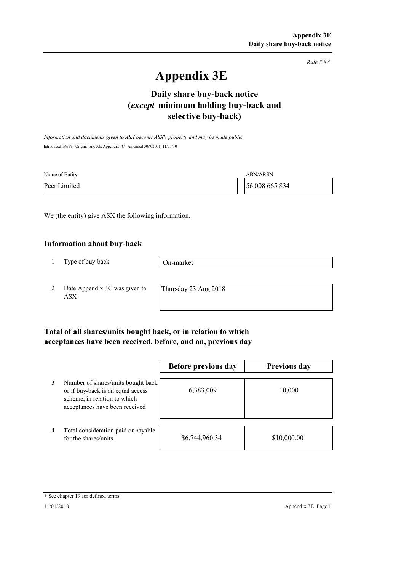*Rule 3.8A*

# **Appendix 3E**

## **selective buy-back) Daily share buy-back notice (***except* **minimum holding buy-back and**

*Information and documents given to ASX become ASX's property and may be made public.* Introduced 1/9/99. Origin: rule 3.6, Appendix 7C. Amended 30/9/2001, 11/01/10

| Name of Entity | <b>ABN/ARSN</b> |
|----------------|-----------------|
| Peet Limited   | 56 008 665 834  |

We (the entity) give ASX the following information.

#### **Information about buy-back**

1 Type of buy-back

On-market

2 Date Appendix 3C was given to ASX

Thursday 23 Aug 2018

### **Total of all shares/units bought back, or in relation to which acceptances have been received, before, and on, previous day**

|   |                                                                                                                                           | Before previous day | <b>Previous day</b> |
|---|-------------------------------------------------------------------------------------------------------------------------------------------|---------------------|---------------------|
| 3 | Number of shares/units bought back<br>or if buy-back is an equal access<br>scheme, in relation to which<br>acceptances have been received | 6,383,009           | 10,000              |
| 4 | Total consideration paid or payable<br>for the shares/units                                                                               | \$6,744,960.34      | \$10,000.00         |

<sup>+</sup> See chapter 19 for defined terms.